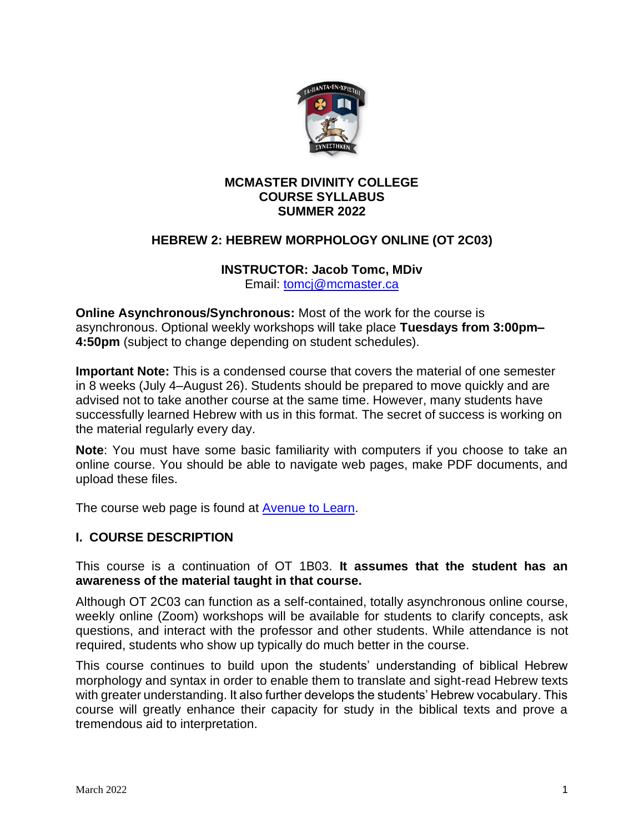

## **MCMASTER DIVINITY COLLEGE COURSE SYLLABUS SUMMER 2022**

## **HEBREW 2: HEBREW MORPHOLOGY ONLINE (OT 2C03)**

# **INSTRUCTOR: Jacob Tomc, MDiv**

Email: [tomcj@mcmaster.ca](mailto:tomcj@mcmaster.ca)

**Online Asynchronous/Synchronous:** Most of the work for the course is asynchronous. Optional weekly workshops will take place **Tuesdays from 3:00pm– 4:50pm** (subject to change depending on student schedules).

**Important Note:** This is a condensed course that covers the material of one semester in 8 weeks (July 4–August 26). Students should be prepared to move quickly and are advised not to take another course at the same time. However, many students have successfully learned Hebrew with us in this format. The secret of success is working on the material regularly every day.

**Note**: You must have some basic familiarity with computers if you choose to take an online course. You should be able to navigate web pages, make PDF documents, and upload these files.

The course web page is found at **Avenue to Learn**.

### **I. COURSE DESCRIPTION**

This course is a continuation of OT 1B03. **It assumes that the student has an awareness of the material taught in that course.**

Although OT 2C03 can function as a self-contained, totally asynchronous online course, weekly online (Zoom) workshops will be available for students to clarify concepts, ask questions, and interact with the professor and other students. While attendance is not required, students who show up typically do much better in the course.

This course continues to build upon the students' understanding of biblical Hebrew morphology and syntax in order to enable them to translate and sight-read Hebrew texts with greater understanding. It also further develops the students' Hebrew vocabulary. This course will greatly enhance their capacity for study in the biblical texts and prove a tremendous aid to interpretation.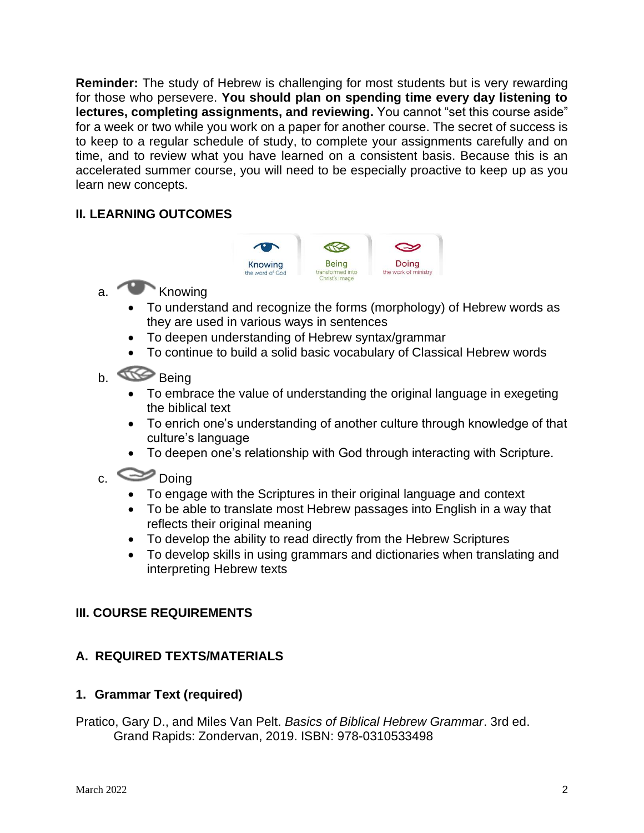**Reminder:** The study of Hebrew is challenging for most students but is very rewarding for those who persevere. **You should plan on spending time every day listening to lectures, completing assignments, and reviewing.** You cannot "set this course aside" for a week or two while you work on a paper for another course. The secret of success is to keep to a regular schedule of study, to complete your assignments carefully and on time, and to review what you have learned on a consistent basis. Because this is an accelerated summer course, you will need to be especially proactive to keep up as you learn new concepts.

# **II. LEARNING OUTCOMES**



- a. Knowing
	- To understand and recognize the forms (morphology) of Hebrew words as they are used in various ways in sentences
	- To deepen understanding of Hebrew syntax/grammar
	- To continue to build a solid basic vocabulary of Classical Hebrew words

# b. Being

- To embrace the value of understanding the original language in exegeting the biblical text
- To enrich one's understanding of another culture through knowledge of that culture's language
- To deepen one's relationship with God through interacting with Scripture.

# c.  $\approx$  Doing

- To engage with the Scriptures in their original language and context
- To be able to translate most Hebrew passages into English in a way that reflects their original meaning
- To develop the ability to read directly from the Hebrew Scriptures
- To develop skills in using grammars and dictionaries when translating and interpreting Hebrew texts

# **III. COURSE REQUIREMENTS**

# **A. REQUIRED TEXTS/MATERIALS**

# **1. Grammar Text (required)**

Pratico, Gary D., and Miles Van Pelt. *Basics of Biblical Hebrew Grammar*. 3rd ed. Grand Rapids: Zondervan, 2019. ISBN: 978-0310533498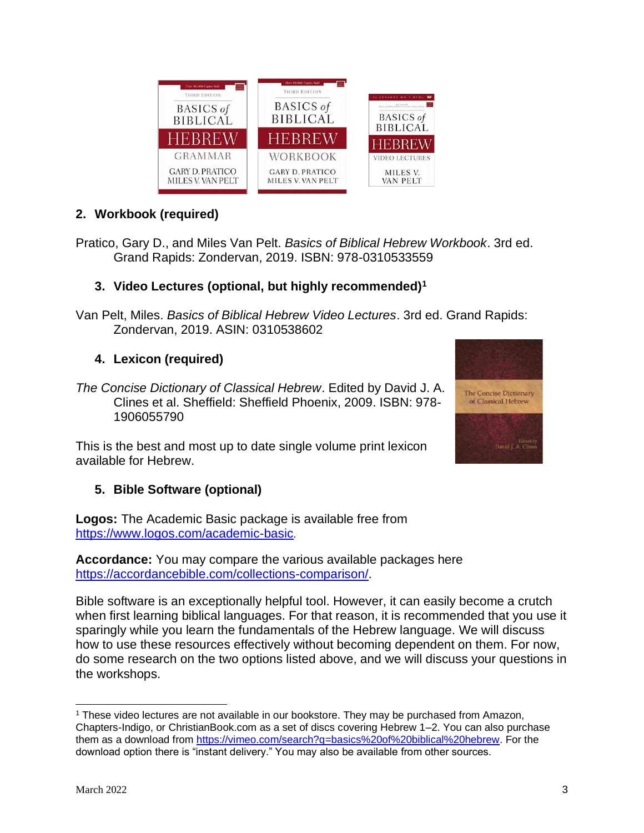

THIRD EDITION

**BASICS** of

**BIBLICAL** 

**GRAMMAR** 

**GARY D. PRATICO** 

MILES V. VAN PELT

ERREW

Van Pelt, Miles. *Basics of Biblical Hebrew Video Lectures*. 3rd ed. Grand Rapids: Zondervan, 2019. ASIN: 0310538602

THIRD EDITION

**BASICS** of

**BIBLICAL** 

HEBREW

WORKBOOK

**GARY D. PRATICO** 

MILES V. VAN PELT

**BASICS** of

**BIBLICAL** 

HEBREW

**VIDEO LECTURES** 

MILES V.

**VAN PELT** 

- **4. Lexicon (required)**
- *The Concise Dictionary of Classical Hebrew*. Edited by David J. A. Clines et al. Sheffield: Sheffield Phoenix, 2009. ISBN: 978- 1906055790

This is the best and most up to date single volume print lexicon available for Hebrew.

# **5. Bible Software (optional)**

**Logos:** The Academic Basic package is available free from <https://www.logos.com/academic-basic>.

**Accordance:** You may compare the various available packages here [https://accordancebible.com/collections-comparison/.](https://accordancebible.com/collections-comparison/)

Bible software is an exceptionally helpful tool. However, it can easily become a crutch when first learning biblical languages. For that reason, it is recommended that you use it sparingly while you learn the fundamentals of the Hebrew language. We will discuss how to use these resources effectively without becoming dependent on them. For now, do some research on the two options listed above, and we will discuss your questions in the workshops.



<sup>1</sup> These video lectures are not available in our bookstore. They may be purchased from Amazon, Chapters-Indigo, or ChristianBook.com as a set of discs covering Hebrew 1–2. You can also purchase them as a download from [https://vimeo.com/search?q=basics%20of%20biblical%20hebrew.](https://vimeo.com/search?q=basics%20of%20biblical%20hebrew) For the download option there is "instant delivery." You may also be available from other sources.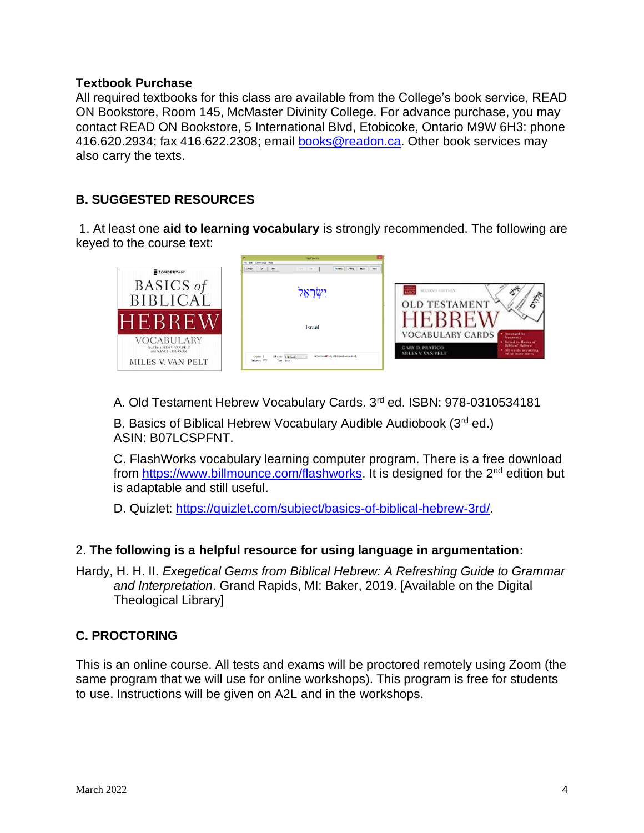#### **Textbook Purchase**

All required textbooks for this class are available from the College's book service, READ ON Bookstore, Room 145, McMaster Divinity College. For advance purchase, you may contact READ ON Bookstore, 5 International Blvd, Etobicoke, Ontario M9W 6H3: phone 416.620.2934; fax 416.622.2308; email [books@readon.ca.](mailto:books@readon.ca) Other book services may also carry the texts.

# **B. SUGGESTED RESOURCES**

1. At least one **aid to learning vocabulary** is strongly recommended. The following are keyed to the course text:



A. Old Testament Hebrew Vocabulary Cards. 3rd ed. ISBN: 978-0310534181

B. Basics of Biblical Hebrew Vocabulary Audible Audiobook (3rd ed.) ASIN: B07LCSPFNT.

C. FlashWorks vocabulary learning computer program. There is a free download from [https://www.billmounce.com/flashworks.](https://www.billmounce.com/flashworks) It is designed for the 2<sup>nd</sup> edition but is adaptable and still useful.

D. Quizlet: [https://quizlet.com/subject/basics-of-biblical-hebrew-3rd/.](https://quizlet.com/subject/basics-of-biblical-hebrew-3rd/)

### 2. **The following is a helpful resource for using language in argumentation:**

Hardy, H. H. II. *Exegetical Gems from Biblical Hebrew: A Refreshing Guide to Grammar and Interpretation*. Grand Rapids, MI: Baker, 2019. [Available on the Digital Theological Library]

# **C. PROCTORING**

This is an online course. All tests and exams will be proctored remotely using Zoom (the same program that we will use for online workshops). This program is free for students to use. Instructions will be given on A2L and in the workshops.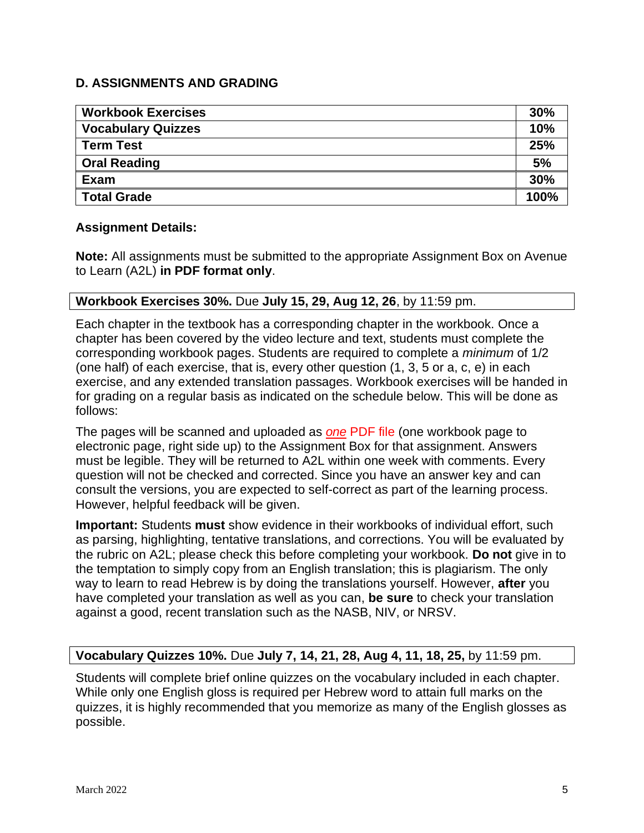# **D. ASSIGNMENTS AND GRADING**

| <b>Workbook Exercises</b> | 30%  |
|---------------------------|------|
| <b>Vocabulary Quizzes</b> | 10%  |
| <b>Term Test</b>          | 25%  |
| <b>Oral Reading</b>       | 5%   |
| Exam                      | 30%  |
| <b>Total Grade</b>        | 100% |

### **Assignment Details:**

**Note:** All assignments must be submitted to the appropriate Assignment Box on Avenue to Learn (A2L) **in PDF format only**.

## **Workbook Exercises 30%.** Due **July 15, 29, Aug 12, 26**, by 11:59 pm.

Each chapter in the textbook has a corresponding chapter in the workbook. Once a chapter has been covered by the video lecture and text, students must complete the corresponding workbook pages. Students are required to complete a *minimum* of 1/2 (one half) of each exercise, that is, every other question (1, 3, 5 or a, c, e) in each exercise, and any extended translation passages. Workbook exercises will be handed in for grading on a regular basis as indicated on the schedule below. This will be done as follows:

The pages will be scanned and uploaded as *one* PDF file (one workbook page to electronic page, right side up) to the Assignment Box for that assignment. Answers must be legible. They will be returned to A2L within one week with comments. Every question will not be checked and corrected. Since you have an answer key and can consult the versions, you are expected to self-correct as part of the learning process. However, helpful feedback will be given.

**Important:** Students **must** show evidence in their workbooks of individual effort, such as parsing, highlighting, tentative translations, and corrections. You will be evaluated by the rubric on A2L; please check this before completing your workbook. **Do not** give in to the temptation to simply copy from an English translation; this is plagiarism. The only way to learn to read Hebrew is by doing the translations yourself. However, **after** you have completed your translation as well as you can, **be sure** to check your translation against a good, recent translation such as the NASB, NIV, or NRSV.

### **Vocabulary Quizzes 10%.** Due **July 7, 14, 21, 28, Aug 4, 11, 18, 25,** by 11:59 pm.

Students will complete brief online quizzes on the vocabulary included in each chapter. While only one English gloss is required per Hebrew word to attain full marks on the quizzes, it is highly recommended that you memorize as many of the English glosses as possible.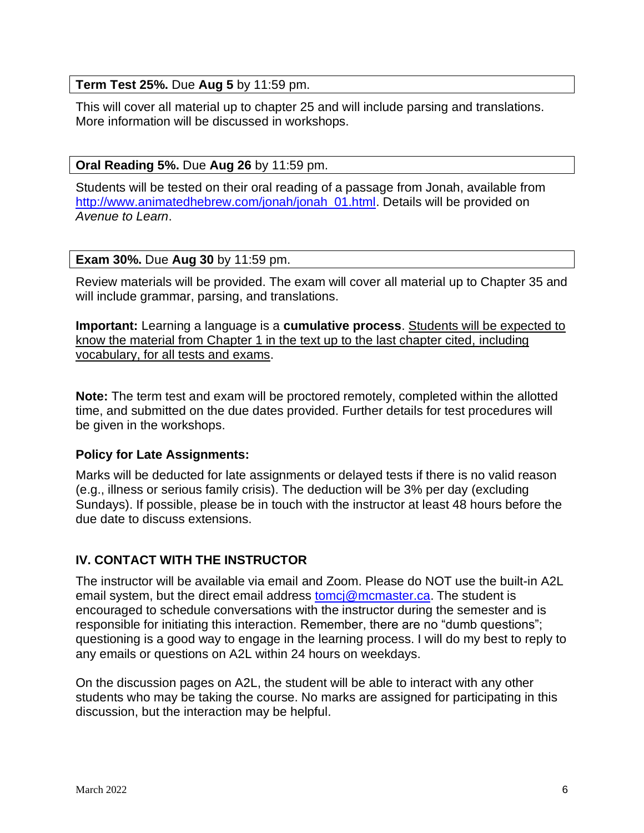# **Term Test 25%.** Due **Aug 5** by 11:59 pm.

This will cover all material up to chapter 25 and will include parsing and translations. More information will be discussed in workshops.

## **Oral Reading 5%.** Due **Aug 26** by 11:59 pm.

Students will be tested on their oral reading of a passage from Jonah, available from [http://www.animatedhebrew.com/jonah/jonah\\_01.html.](http://www.animatedhebrew.com/jonah/jonah_01.html) Details will be provided on *Avenue to Learn*.

### **Exam 30%.** Due **Aug 30** by 11:59 pm.

Review materials will be provided. The exam will cover all material up to Chapter 35 and will include grammar, parsing, and translations.

**Important:** Learning a language is a **cumulative process**. Students will be expected to know the material from Chapter 1 in the text up to the last chapter cited, including vocabulary, for all tests and exams.

**Note:** The term test and exam will be proctored remotely, completed within the allotted time, and submitted on the due dates provided. Further details for test procedures will be given in the workshops.

### **Policy for Late Assignments:**

Marks will be deducted for late assignments or delayed tests if there is no valid reason (e.g., illness or serious family crisis). The deduction will be 3% per day (excluding Sundays). If possible, please be in touch with the instructor at least 48 hours before the due date to discuss extensions.

### **IV. CONTACT WITH THE INSTRUCTOR**

The instructor will be available via email and Zoom. Please do NOT use the built-in A2L email system, but the direct email address [tomcj@mcmaster.ca.](mailto:tomcj@mcmaster.ca) The student is encouraged to schedule conversations with the instructor during the semester and is responsible for initiating this interaction. Remember, there are no "dumb questions"; questioning is a good way to engage in the learning process. I will do my best to reply to any emails or questions on A2L within 24 hours on weekdays.

On the discussion pages on A2L, the student will be able to interact with any other students who may be taking the course. No marks are assigned for participating in this discussion, but the interaction may be helpful.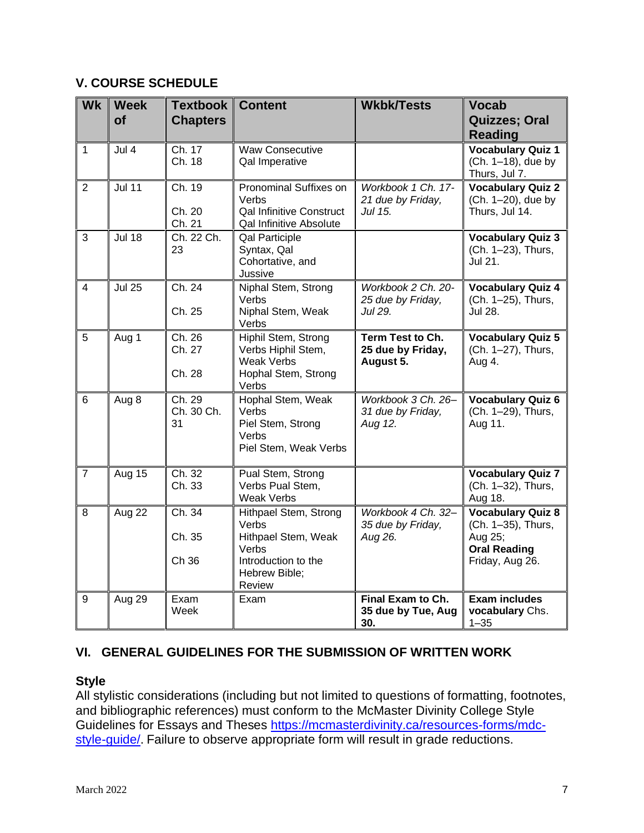# **V. COURSE SCHEDULE**

| <b>Wk</b>               | <b>Week</b><br><b>of</b> | Textbook<br><b>Chapters</b>             | <b>Content</b>                                                                                                   | <b>Wkbk/Tests</b>                                  | <b>Vocab</b><br>Quizzes; Oral<br><b>Reading</b>                                                     |
|-------------------------|--------------------------|-----------------------------------------|------------------------------------------------------------------------------------------------------------------|----------------------------------------------------|-----------------------------------------------------------------------------------------------------|
| 1                       | Jul 4                    | Ch. 17<br>Ch. 18                        | <b>Waw Consecutive</b><br>Qal Imperative                                                                         |                                                    | <b>Vocabulary Quiz 1</b><br>(Ch. 1-18), due by<br>Thurs, Jul 7.                                     |
| $\overline{2}$          | <b>Jul 11</b>            | Ch. 19<br>Ch. 20<br>Ch. 21              | <b>Pronominal Suffixes on</b><br>Verbs<br><b>Qal Infinitive Construct</b><br>Qal Infinitive Absolute             | Workbook 1 Ch. 17-<br>21 due by Friday,<br>Jul 15. | <b>Vocabulary Quiz 2</b><br>(Ch. 1-20), due by<br>Thurs, Jul 14.                                    |
| 3                       | <b>Jul 18</b>            | Ch. 22 Ch.<br>23                        | Qal Participle<br>Syntax, Qal<br>Cohortative, and<br>Jussive                                                     |                                                    | <b>Vocabulary Quiz 3</b><br>(Ch. 1-23), Thurs,<br>Jul 21.                                           |
| $\overline{\mathbf{4}}$ | <b>Jul 25</b>            | Ch. 24<br>Ch. 25                        | Niphal Stem, Strong<br>Verbs<br>Niphal Stem, Weak<br>Verbs                                                       | Workbook 2 Ch. 20-<br>25 due by Friday,<br>Jul 29. | <b>Vocabulary Quiz 4</b><br>(Ch. 1-25), Thurs,<br>Jul 28.                                           |
| 5                       | Aug 1                    | Ch. 26<br>Ch. 27<br>Ch. 28              | Hiphil Stem, Strong<br>Verbs Hiphil Stem,<br><b>Weak Verbs</b><br>Hophal Stem, Strong<br>Verbs                   | Term Test to Ch.<br>25 due by Friday,<br>August 5. | <b>Vocabulary Quiz 5</b><br>(Ch. 1-27), Thurs,<br>Aug 4.                                            |
| 6                       | Aug 8                    | $\overline{Ch. 29}$<br>Ch. 30 Ch.<br>31 | Hophal Stem, Weak<br>Verbs<br>Piel Stem, Strong<br>Verbs<br>Piel Stem, Weak Verbs                                | Workbook 3 Ch. 26-<br>31 due by Friday,<br>Aug 12. | <b>Vocabulary Quiz 6</b><br>(Ch. 1-29), Thurs,<br>Aug 11.                                           |
| $\overline{7}$          | Aug 15                   | Ch. 32<br>Ch. 33                        | Pual Stem, Strong<br>Verbs Pual Stem,<br><b>Weak Verbs</b>                                                       |                                                    | <b>Vocabulary Quiz 7</b><br>(Ch. 1-32), Thurs,<br>Aug 18.                                           |
| 8                       | Aug 22                   | Ch. 34<br>Ch. 35<br>Ch 36               | Hithpael Stem, Strong<br>Verbs<br>Hithpael Stem, Weak<br>Verbs<br>Introduction to the<br>Hebrew Bible;<br>Review | Workbook 4 Ch. 32-<br>35 due by Friday,<br>Aug 26. | <b>Vocabulary Quiz 8</b><br>(Ch. 1-35), Thurs,<br>Aug 25;<br><b>Oral Reading</b><br>Friday, Aug 26. |
| 9                       | Aug 29                   | Exam<br>Week                            | Exam                                                                                                             | Final Exam to Ch.<br>35 due by Tue, Aug<br>30.     | <b>Exam includes</b><br>vocabulary Chs.<br>$1 - 35$                                                 |

# **VI. GENERAL GUIDELINES FOR THE SUBMISSION OF WRITTEN WORK**

# **Style**

All stylistic considerations (including but not limited to questions of formatting, footnotes, and bibliographic references) must conform to the McMaster Divinity College Style Guidelines for Essays and Theses [https://mcmasterdivinity.ca/resources-forms/mdc](https://mcmasterdivinity.ca/resources-forms/mdc-style-guide/)[style-guide/.](https://mcmasterdivinity.ca/resources-forms/mdc-style-guide/) Failure to observe appropriate form will result in grade reductions.